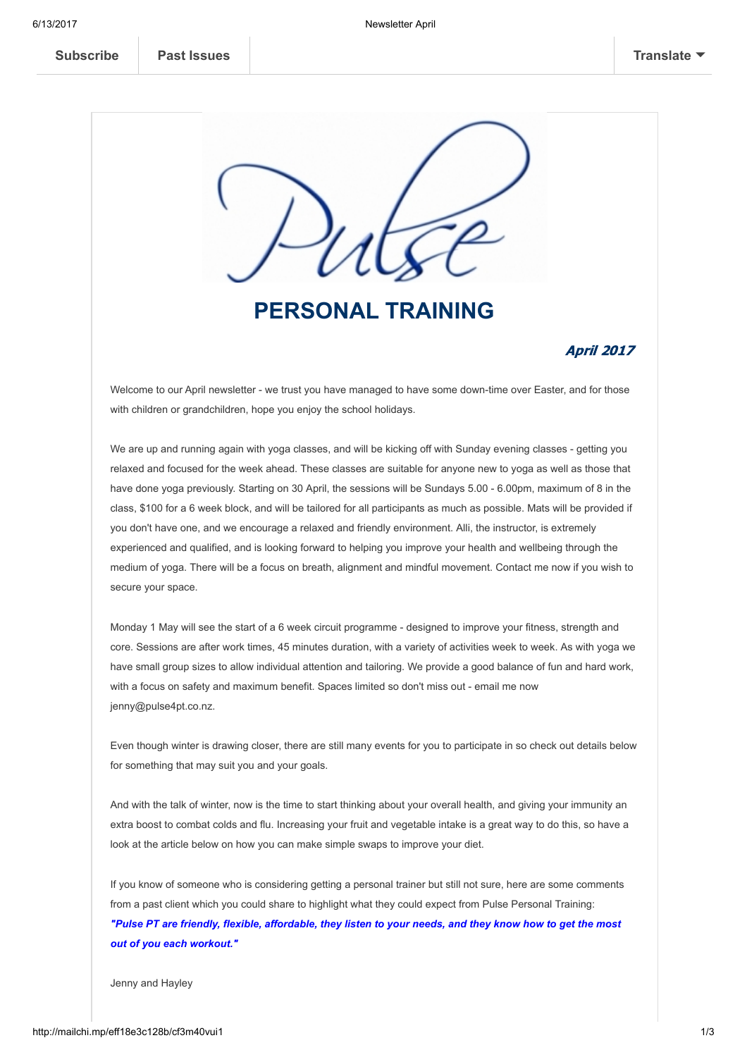

## PERSONAL TRAINING

### April 2017

Welcome to our April newsletter - we trust you have managed to have some down-time over Easter, and for those with children or grandchildren, hope you enjoy the school holidays.

We are up and running again with yoga classes, and will be kicking off with Sunday evening classes - getting you relaxed and focused for the week ahead. These classes are suitable for anyone new to yoga as well as those that have done yoga previously. Starting on 30 April, the sessions will be Sundays 5.00 - 6.00pm, maximum of 8 in the class, \$100 for a 6 week block, and will be tailored for all participants as much as possible. Mats will be provided if you don't have one, and we encourage a relaxed and friendly environment. Alli, the instructor, is extremely experienced and qualified, and is looking forward to helping you improve your health and wellbeing through the medium of yoga. There will be a focus on breath, alignment and mindful movement. Contact me now if you wish to secure your space.

Monday 1 May will see the start of a 6 week circuit programme - designed to improve your fitness, strength and core. Sessions are after work times, 45 minutes duration, with a variety of activities week to week. As with yoga we have small group sizes to allow individual attention and tailoring. We provide a good balance of fun and hard work, with a focus on safety and maximum benefit. Spaces limited so don't miss out - email me now jenny@pulse4pt.co.nz.

Even though winter is drawing closer, there are still many events for you to participate in so check out details below for something that may suit you and your goals.

And with the talk of winter, now is the time to start thinking about your overall health, and giving your immunity an extra boost to combat colds and flu. Increasing your fruit and vegetable intake is a great way to do this, so have a look at the article below on how you can make simple swaps to improve your diet.

If you know of someone who is considering getting a personal trainer but still not sure, here are some comments from a past client which you could share to highlight what they could expect from Pulse Personal Training: "Pulse PT are friendly, flexible, affordable, they listen to your needs, and they know how to get the most out of you each workout."

Jenny and Hayley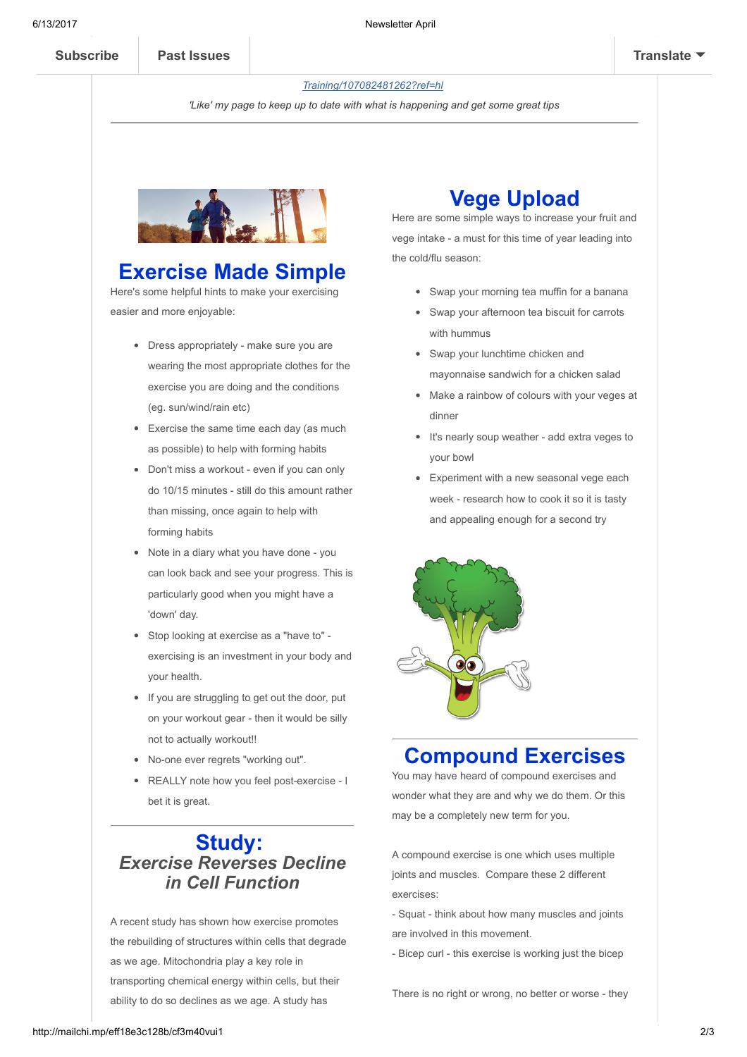#### If you haven't found me on Facebook yet, here is the link [http://www.facebook.com/pages/PulsePersonal-](https://www.facebook.com/Pulse-Personal-Training-107082481262/)Training/107082481262?ref=hl

'Like' my page to keep up to date with what is happening and get some great tips



### Exercise Made Simple

Here's some helpful hints to make your exercising easier and more enjoyable:

- Dress appropriately make sure you are wearing the most appropriate clothes for the exercise you are doing and the conditions (eg. sun/wind/rain etc)
- Exercise the same time each day (as much as possible) to help with forming habits
- Don't miss a workout even if you can only do 10/15 minutes - still do this amount rather than missing, once again to help with forming habits
- Note in a diary what you have done you can look back and see your progress. This is particularly good when you might have a 'down' day.
- Stop looking at exercise as a "have to" exercising is an investment in your body and your health.
- If you are struggling to get out the door, put on your workout gear - then it would be silly not to actually workout!!
- No-one ever regrets "working out".
- REALLY note how you feel post-exercise I bet it is great.

### Study: Exercise Reverses Decline in Cell Function

A recent study has shown how exercise promotes the rebuilding of structures within cells that degrade as we age. Mitochondria play a key role in transporting chemical energy within cells, but their ability to do so declines as we age. A study has

## Vege Upload

Here are some simple ways to increase your fruit and vege intake - a must for this time of year leading into the cold/flu season:

- Swap your morning tea muffin for a banana
- Swap your afternoon tea biscuit for carrots with hummus
- Swap your lunchtime chicken and mayonnaise sandwich for a chicken salad
- Make a rainbow of colours with your veges at dinner
- It's nearly soup weather add extra veges to your bowl
- Experiment with a new seasonal vege each week - research how to cook it so it is tasty and appealing enough for a second try



## Compound Exercises

You may have heard of compound exercises and wonder what they are and why we do them. Or this may be a completely new term for you.

A compound exercise is one which uses multiple joints and muscles. Compare these 2 different exercises:

- Squat - think about how many muscles and joints are involved in this movement.

- Bicep curl - this exercise is working just the bicep

There is no right or wrong, no better or worse - they